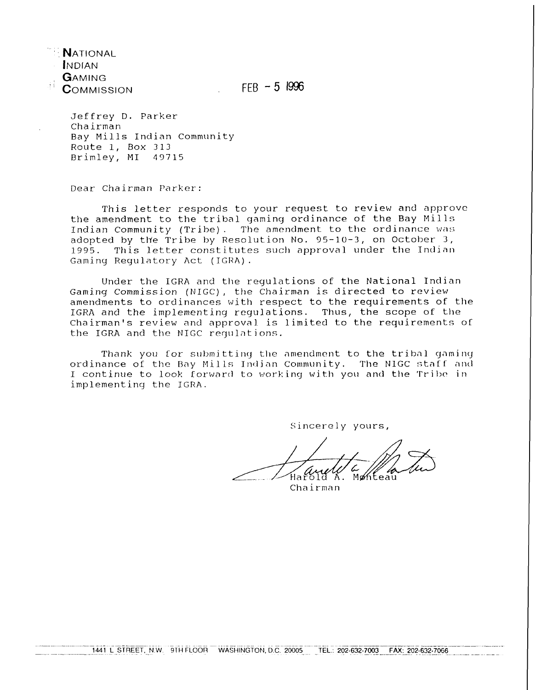**N**ational<br>Indian GAMING  $COMMISION$  FEB  $-5$  1996

Jeffrey D. Parker Chairman Bay Mills Indian Community Route 1, Box 313 Brimley, MI 43715

Dear Chairman Parker:

This letter responds to your request to review and approve the amendment to the tribal yaminy ordinance of the Bay Mills Indian Community (Tribe). The amendment to the ordinance was adopted by the Tribe by Resolution No. 95-10-3, on October 3,<br>1995. This letter constitutes such approval under the Indian This letter constitutes such approval under the Indian Gaming Regulatory Act (IGRA).

Under the IGRA and the regulations of the National Indian Gaming Commission (NIGC), the Chairman is directed to review amendments to ordinances with respect to the requirements of the IGRA and the implementing reyulations. Thus, the scope of the Chairman's review and approval is limited to the requirements of the IGRA and the NIGC requlations.

Thank you for submitting the amendment to the tribal gaming ordinance of the Bay Mills Indian Community. The NIGC staff and I continue to look forward to working with you and the Tribe in implementing the IGRA.

Sincerely yours,

Monteau

Chairman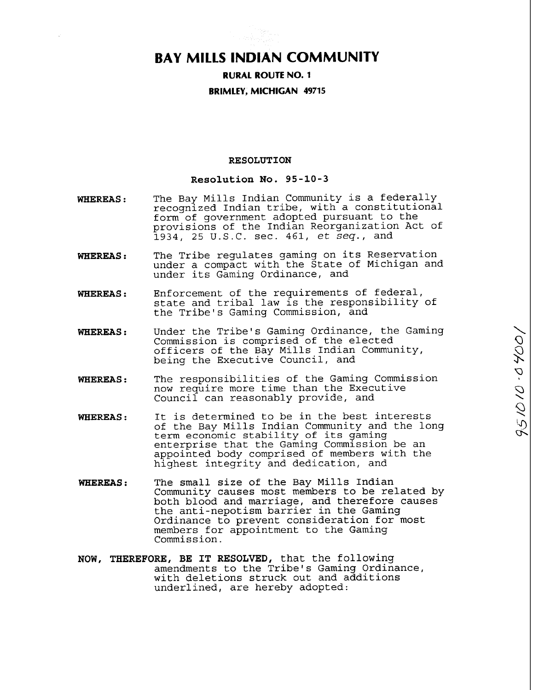# **BAY MILLS INDIAN COMMUNITY**

# **RURAL ROUTE NO. 1 BRIMLEY, MICHIGAN 49715**

# **RESOLUTION**

# **Resolution No. 95-10-3**

- **WHEREAS** : The Bay Mills Indian Community is a federally recognized Indian tribe, with a constitutional form of government adopted pursuant to the provisions of the Indian Reorganization Act of 1934, 25 U.S.C. sec. 461,  $et$   $seq.$ , and
- **WHEREAS** : The Tribe regulates gaming on its Reservation under a compact with the State of Michigan and under its Gaming Ordinance, and
- **WHEREAS** : Enforcement of the requirements of federal, state and tribal law is the responsibility of the Tribe's Gaming Commission, and
- **WHEREAS** : Under the Tribe's Gaming Ordinance, the Gaming Commission is comprised of the elected officers of the Bay Mills Indian Community, being the Executive Council, and
- **WHEREAS** : The responsibilities of the Gaming Commission now require more time than the Executive Council can reasonably provide, and
- **WHEREAS** : It is determined to be in the best interests of the Bay Mills Indian Community and the long term economic stability of its gaming enterprise that the Gaming Commission be an appointed body comprised of members with the highest integrity and dedication, and
- **WHEREAS** : The small size of the Bay Mills Indian Community causes most members to be related by both blood and marriage, and therefore causes the anti-nepotism barrier in the Gaming Ordinance to prevent consideration for most members for appointment to the Gaming Commission.
- **NOW, THEREFORE, BE IT RESOLVED,** that the **following**  amendments to the Tribe's Gaming Ordinance, with deletions struck out and additions underlined, are hereby adopted: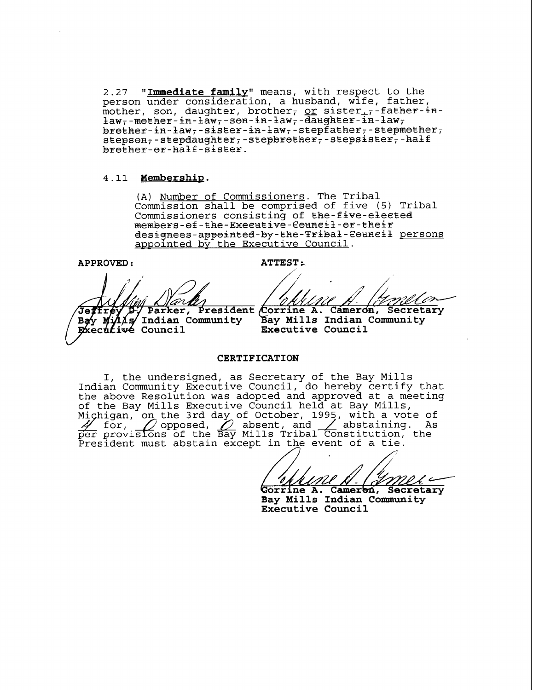**2.27 "Immediate familv"** means, with respect to the person under consideration, a husband, wife, father, mother, son, daughter, brother, or sister.  $7 -$  father-in- $\frac{1}{4}aw_7$ -mether-in- $\frac{1}{2}aw_7$ -sen-in-law<sub>7</sub>-daughter-in-law<sub>7</sub>  $\texttt{Brether-in-law}$ -sister-in-law<sub>r</sub>-stepfather<sub>r</sub>-stepmether<sub>r</sub>  $stepson_7$ -stepdaughter<sub>7</sub>-stepbrether<sub>7</sub>-stepsister<sub>7</sub>-half  $b$ re $\bar{b}$ her-er-half-sister.

## 4.11 Membership.

(A) Number of Commissioners. The Tribal Commission shall be comprised of five (5) Tribal Commissioners consisting of the-five-elected members-ef-the-Executive-Council-er-their **designees-appeia~ed-By-Eke-T~iBa&-€eusei** persons appointed by the Executive Council.

**APPROVED** : **ATTEST t.** 

Parker, President Corrine A. Cameron, Secretary

Bay  $M_1/4$ s Indian Community Executive Council

Bay Mills Indian Community **Executive Council** 

## **CERTIFICATION**

I, the undersigned, as Secretary of the Bay Mills Indian Community Executive Council, do hereby certify that the above Resolution was adopted and approved at a meeting of the Bay Mills Executive Council held at Bay Mills, the 3rd day of October, 1995, with a vote of olution was adopted and approved at a meeting<br>lls Executive Council held at Bay Mills,<br>the 3rd day of October, 1995, with a vote of<br>opposed,  $\sum$  absent, and  $\sum$  abstaining. As<br>s of the Bay Mills Tribal Constitution, the President must abstain except in the event of a tie.

/&z/&A- **rrlne A. Camer** , **Secretary** 

**Bay Mills Indian community** - **Executive Council**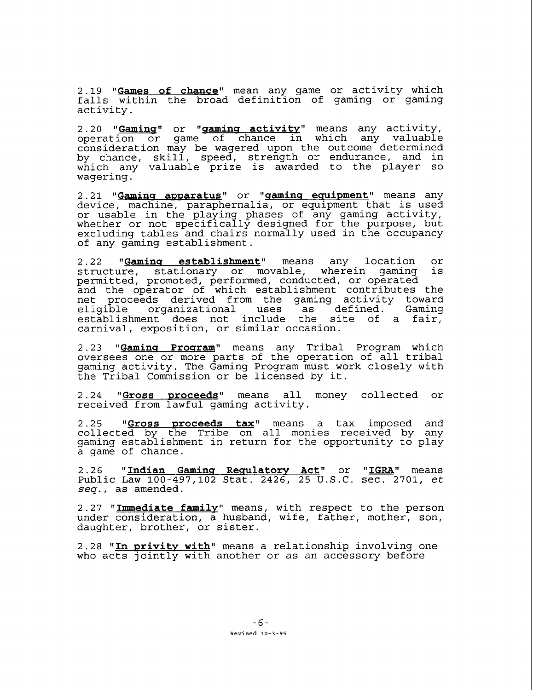2.19 "<u>Games of chance</u>" mean any game or activity which falls within the broad definition of gaming or gaming activity.

2.20 **"<u>Gaming</u>" or "<u>gaming activity</u>" means any activity,** operation or game of chance in which any valuable consideration may be wagered upon the outcome determined by chance, skill, speed, strength or endurance, and in which any valuable prize is awarded to the player so wagering.

2 .2 1 **"Gamins awwaratus** or **I1qaminq equipment** means any device, machine, paraphernalia, or equipment that is used or usable in the playing phases of any gaming activity, whether or not specifically designed for the purpose, but excluding tables and chairs normally used in the occupancy of any gaming establishment.

2.22 **"Gaming establishment"** means any location or structure, stationary or movable, wherein gaming is permitted, promoted, performed, conducted, or operated and the operator of which establishment contributes the net proceeds derived from the gaming activity toward<br>eligible organizational uses as defined. Gaming organizational establishment does not include the site of a fair, carnival, exposition, or similar occasion.

2.23 "Gaming Program" means any Tribal Program which oversees one or more parts of the operation of all tribal gaming activity. The Gaming Program must work closely with the Tribal Commission or be licensed by it.

2.24 "Gross proceeds" means all money collected or received from lawful gaming activity.

2.25 **"<u>Gross proceeds tax</u>"** means a tax imposed and collected by the Tribe on all monies received by any gaming establishment in return for the opportunity to play a game of chance.

2.26 **"Indian Gamins Resulatorv Act"** or **"IGRA"** means Public Law 100-497,102 Stat. 2426, 25 U.S.C. sec. 2701, et seq., as amended.

2.27 "Immediate family" means, with respect to the person under consideration, a husband, wife, father, mother, son, daughter, brother, or sister.

2 -28 **"In wrivitv with"** means a relationship involving one who acts jointly with another or as an accessory before